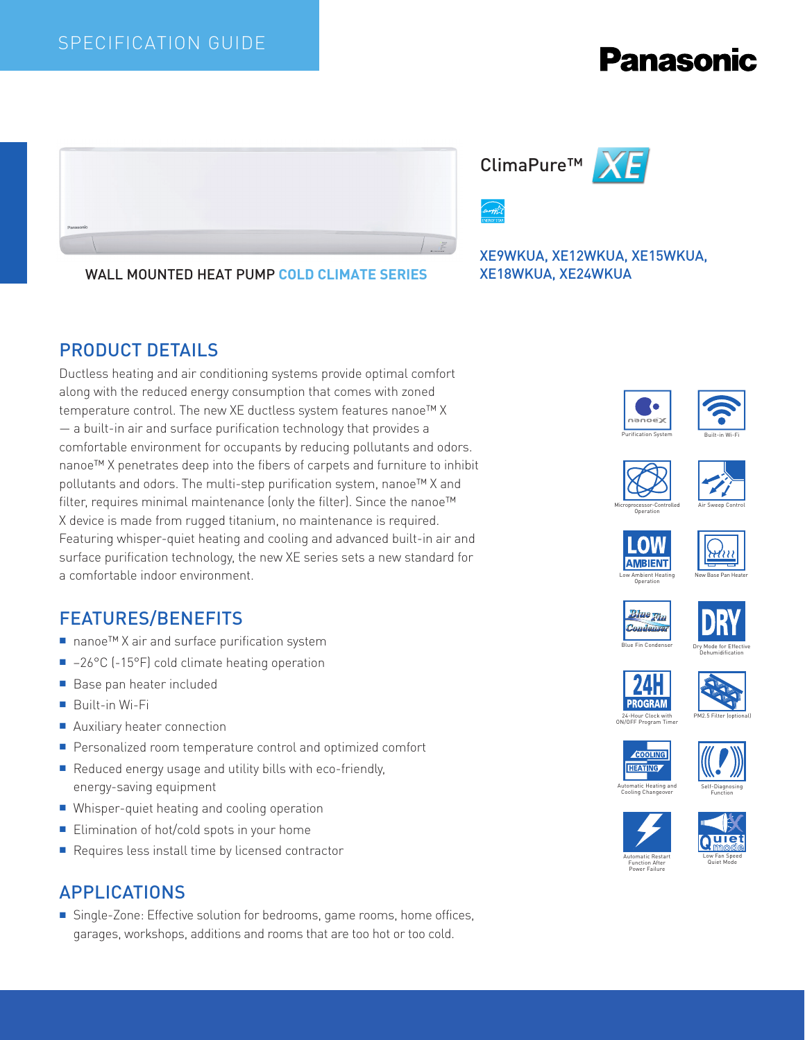#### SPECIFICATION GUIDE

# **Panasonic**



WALL MOUNTED HEAT PUMP **COLD CLIMATE SERIES**

#### PRODUCT DETAILS

Ductless heating and air conditioning systems provide optimal comfort along with the reduced energy consumption that comes with zoned temperature control. The new XE ductless system features nanoe™ X — a built-in air and surface purification technology that provides a comfortable environment for occupants by reducing pollutants and odors. nanoe™ X penetrates deep into the fibers of carpets and furniture to inhibit pollutants and odors. The multi-step purification system, nanoe™ X and filter, requires minimal maintenance (only the filter). Since the nanoe™ X device is made from rugged titanium, no maintenance is required. Featuring whisper-quiet heating and cooling and advanced built-in air and surface purification technology, the new XE series sets a new standard for a comfortable indoor environment.

#### FEATURES/BENEFITS

- nanoe™ X air and surface purification system
- -26°C (-15°F) cold climate heating operation
- Base pan heater included
- Built-in Wi-Fi
- Auxiliary heater connection
- Personalized room temperature control and optimized comfort
- Reduced energy usage and utility bills with eco-friendly, energy-saving equipment
- Whisper-quiet heating and cooling operation
- Elimination of hot/cold spots in your home
- Requires less install time by licensed contractor

### APPLICATIONS

■ Single-Zone: Effective solution for bedrooms, game rooms, home offices, garages, workshops, additions and rooms that are too hot or too cold.





XE9WKUA, XE12WKUA, XE15WKUA, XE18WKUA, XE24WKUA



















ON/OFF Program Timer







Automatic Heating and Cooling Changeover